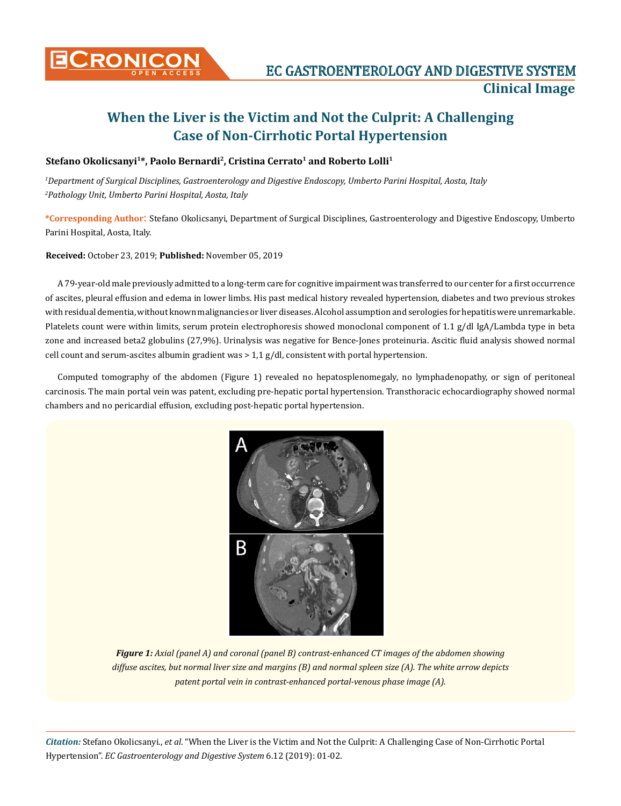

## **When the Liver is the Victim and Not the Culprit: A Challenging Case of Non-Cirrhotic Portal Hypertension**

### Stefano Okolicsanyi<sup>1\*</sup>, Paolo Bernardi<sup>2</sup>, Cristina Cerrato<sup>1</sup> and Roberto Lolli<sup>1</sup>

*1 Department of Surgical Disciplines, Gastroenterology and Digestive Endoscopy, Umberto Parini Hospital, Aosta, Italy 2 Pathology Unit, Umberto Parini Hospital, Aosta, Italy*

**\*Corresponding Author**: Stefano Okolicsanyi, Department of Surgical Disciplines, Gastroenterology and Digestive Endoscopy, Umberto Parini Hospital, Aosta, Italy.

**Received:** October 23, 2019; **Published:** November 05, 2019

A 79-year-old male previously admitted to a long-term care for cognitive impairment was transferred to our center for a first occurrence of ascites, pleural effusion and edema in lower limbs. His past medical history revealed hypertension, diabetes and two previous strokes with residual dementia, without known malignancies or liver diseases. Alcohol assumption and serologies for hepatitis were unremarkable. Platelets count were within limits, serum protein electrophoresis showed monoclonal component of 1.1 g/dl IgA/Lambda type in beta zone and increased beta2 globulins (27,9%). Urinalysis was negative for Bence-Jones proteinuria. Ascitic fluid analysis showed normal cell count and serum-ascites albumin gradient was  $> 1.1$  g/dl, consistent with portal hypertension.

Computed tomography of the abdomen (Figure 1) revealed no hepatosplenomegaly, no lymphadenopathy, or sign of peritoneal carcinosis. The main portal vein was patent, excluding pre-hepatic portal hypertension. Transthoracic echocardiography showed normal chambers and no pericardial effusion, excluding post-hepatic portal hypertension.



*Figure 1: Axial (panel A) and coronal (panel B) contrast-enhanced CT images of the abdomen showing diffuse ascites, but normal liver size and margins (B) and normal spleen size (A). The white arrow depicts patent portal vein in contrast-enhanced portal-venous phase image (A).*

*Citation:* Stefano Okolicsanyi., *et al*. "When the Liver is the Victim and Not the Culprit: A Challenging Case of Non-Cirrhotic Portal Hypertension". *EC Gastroenterology and Digestive System* 6.12 (2019): 01-02.